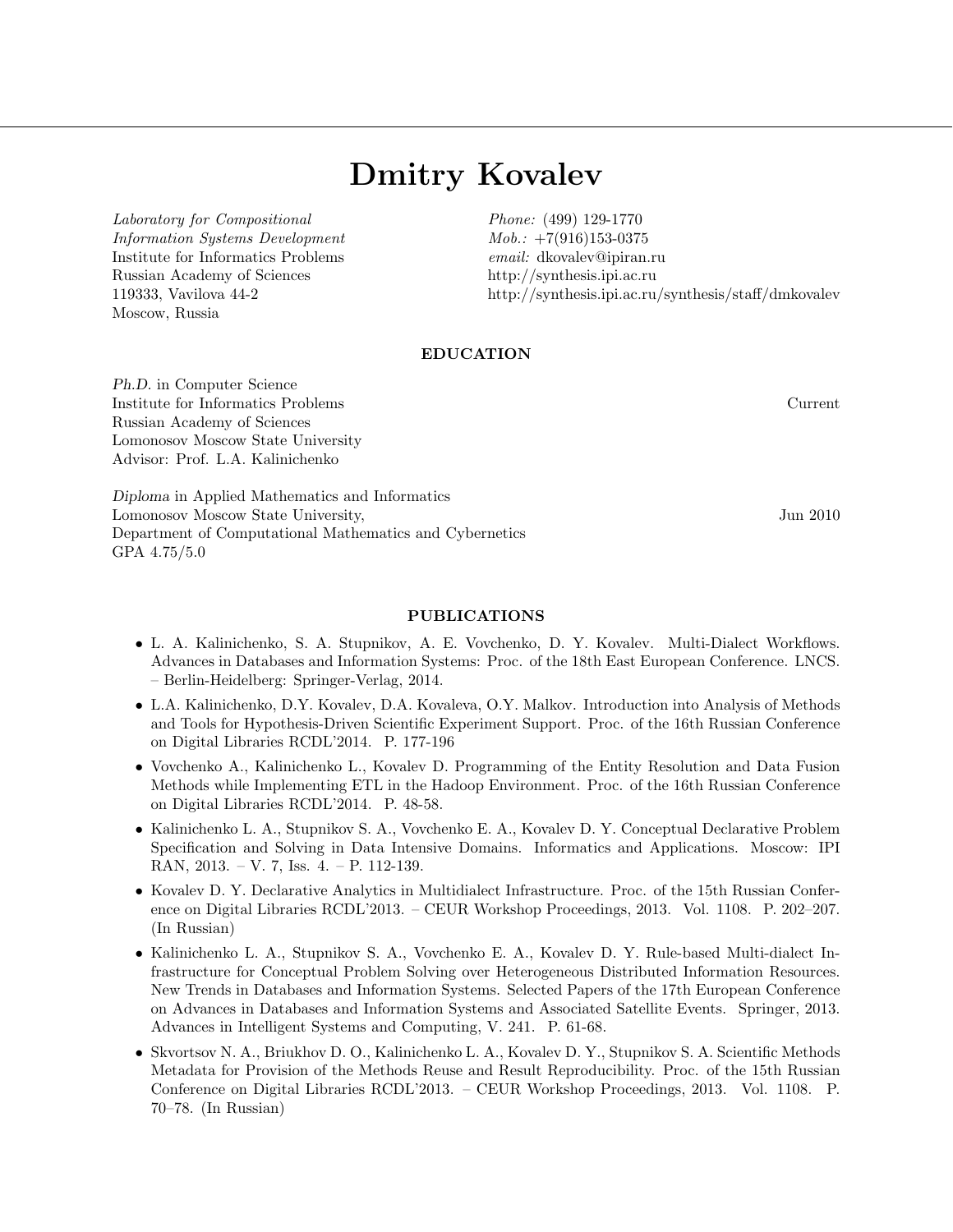## Dmitry Kovalev

Laboratory for Compositional Information Systems Development Institute for Informatics Problems Russian Academy of Sciences 119333, Vavilova 44-2 Moscow, Russia

Phone: (499) 129-1770  $Mob.: +7(916)153-0375$ email: dkovalev@ipiran.ru http://synthesis.ipi.ac.ru http://synthesis.ipi.ac.ru/synthesis/staff/dmkovalev

## EDUCATION

Ph.D. in Computer Science Institute for Informatics Problems Current Russian Academy of Sciences Lomonosov Moscow State University Advisor: Prof. L.A. Kalinichenko

Diploma in Applied Mathematics and Informatics Lomonosov Moscow State University, Jun 2010 Department of Computational Mathematics and Cybernetics GPA 4.75/5.0

## PUBLICATIONS

- L. A. Kalinichenko, S. A. Stupnikov, A. E. Vovchenko, D. Y. Kovalev. Multi-Dialect Workflows. Advances in Databases and Information Systems: Proc. of the 18th East European Conference. LNCS. – Berlin-Heidelberg: Springer-Verlag, 2014.
- L.A. Kalinichenko, D.Y. Kovalev, D.A. Kovaleva, O.Y. Malkov. Introduction into Analysis of Methods and Tools for Hypothesis-Driven Scientific Experiment Support. Proc. of the 16th Russian Conference on Digital Libraries RCDL'2014. P. 177-196
- Vovchenko A., Kalinichenko L., Kovalev D. Programming of the Entity Resolution and Data Fusion Methods while Implementing ETL in the Hadoop Environment. Proc. of the 16th Russian Conference on Digital Libraries RCDL'2014. P. 48-58.
- Kalinichenko L. A., Stupnikov S. A., Vovchenko E. A., Kovalev D. Y. Conceptual Declarative Problem Specification and Solving in Data Intensive Domains. Informatics and Applications. Moscow: IPI RAN, 2013. – V. 7, Iss. 4. – P. 112-139.
- Kovalev D. Y. Declarative Analytics in Multidialect Infrastructure. Proc. of the 15th Russian Conference on Digital Libraries RCDL'2013. – CEUR Workshop Proceedings, 2013. Vol. 1108. P. 202–207. (In Russian)
- Kalinichenko L. A., Stupnikov S. A., Vovchenko E. A., Kovalev D. Y. Rule-based Multi-dialect Infrastructure for Conceptual Problem Solving over Heterogeneous Distributed Information Resources. New Trends in Databases and Information Systems. Selected Papers of the 17th European Conference on Advances in Databases and Information Systems and Associated Satellite Events. Springer, 2013. Advances in Intelligent Systems and Computing, V. 241. P. 61-68.
- Skvortsov N. A., Briukhov D. O., Kalinichenko L. A., Kovalev D. Y., Stupnikov S. A. Scientific Methods Metadata for Provision of the Methods Reuse and Result Reproducibility. Proc. of the 15th Russian Conference on Digital Libraries RCDL'2013. – CEUR Workshop Proceedings, 2013. Vol. 1108. P. 70–78. (In Russian)